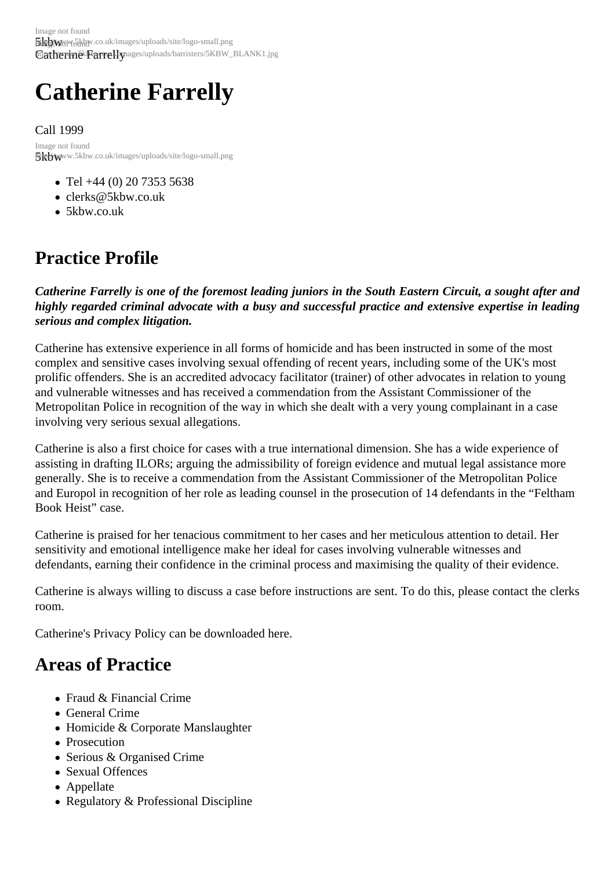# Catherine Farrelly

Call 1999

5kbwww.5kbw.co.uk/images/uploads/site/logo-small.png Image not found

- Tel +44 (0) 20 7353 5638
- clerks@5kbw.co.uk
- 5kbw.co.uk

# Pra[ctice Pr](http://www.5kbw.co.uk)[ofile](mailto:clerks@5kbw.co.uk)

Catherine Farrelly is one of the foremost leading juniors in the South Eastern Circuit, a sought after and highly regarded criminal advocate with a busy and successful practice and extensive expertise in leading serious and complex litigation.

Catherine has extensive experience in all forms of homicide and has been instructed in some of the most complex and sensitive cases involving sexual offending of recent years, including some of the UK's most prolific offenders. She is an accredited advocacy facilitator (trainer) of other advocates in relation to young and vulnerable witnesses and has received a commendation from the Assistant Commissioner of the Metropolitan Police in recognition of the way in which she dealt with a very young complainant in a case involving very serious sexual allegations.

Catherine is also a first choice for cases with a true international dimension. She has a wide experience of assisting in drafting ILORs; arguing the admissibility of foreign evidence and mutual legal assistance more generally. She is to receive a commendation from the Assistant Commissioner of the Metropolitan Police and Europol in recognition of her role as leading counsel in the prosecution of 14 defendants in the "Feltham Book Heist" case.

Catherine is praised for her tenacious commitment to her cases and her meticulous attention to detail. Her sensitivity and emotional intelligence make her ideal for cases involving vulnerable witnesses and defendants, earning their confidence in the criminal process and maximising the quality of their evidence.

Catherine is always willing to discuss a case before instructions are sent. To do this, please contact the clerks room.

Catherine's Privacy Policy can be downloadede

# Areas of Practice

- Fraud & Financial Crime
- General Crime
- Homicide & Corporate Manslaughter
- Prosecution
- Serious & Organised Crime
- Sexual Offences
- Appellate
- Regulatory & Professional Discipline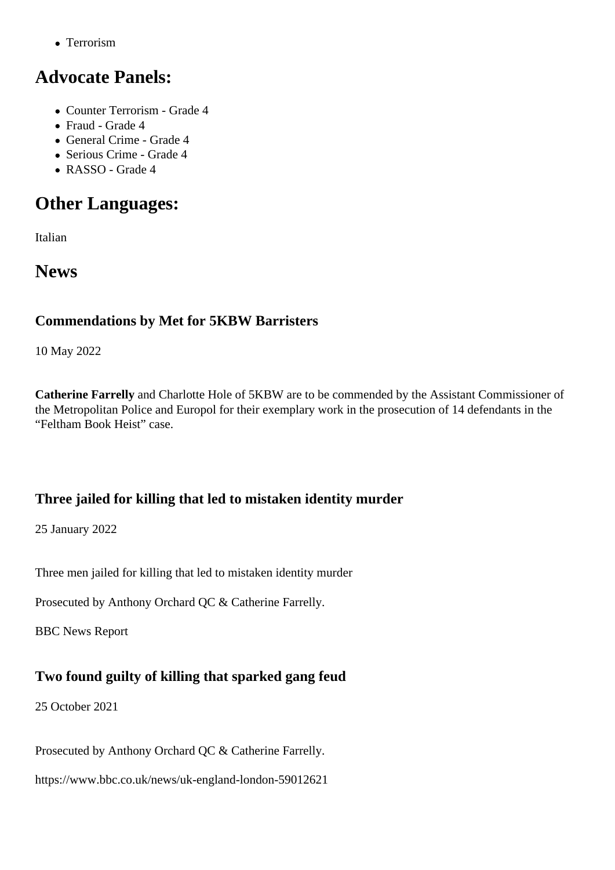## Advocate Panels:

- Counter Terrorism Grade 4
- Fraud Grade 4
- General Crime Grade 4
- Serious Crime Grade 4
- RASSO Grade 4

# Other Languages:

Italian

## **News**

#### Commendations by Met for 5KBW Barristers

10 May 2022

Catherine Farrelly and Charlotte Hole of 5KBW are to be commended by the Assistant Commissioner of the Metropolitan Police and Europol for their exemplary work in the prosecution of 14 defendants in the "Feltham Book Heist" case.

Three jailed for killing that led to mistaken identity murder

25 January 2022

Three men jailed for killing that led to mistaken identity murder

Prosecuted by Anthony Orchard QC& Catherine Farrelly.

BBC News Report

[Two found guil](https://www.bbc.co.uk/news/uk-england-london-60088246)ty of killing that sparked gang feud

25 October 2021

Prosecuted by Anthony Orchard QC & Catherine Farrelly.

https://www.bbc.co.uk/news/uk-england-london-59012621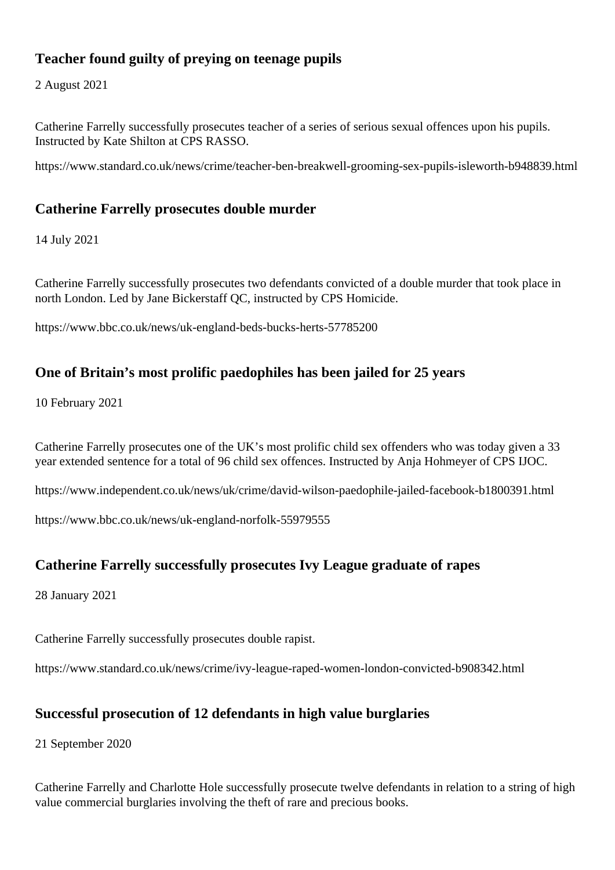Teacher found guilty of preying on teenage pupils

2 August 2021

Catherine Farrelly successfully prosecutes teacher of a series of serious sexual offences upon his pupils. Instructed by Kate Shilton at CPS RASSO.

https://www.standard.co.uk/news/crime/teacher-ben-breakwell-grooming-sex-pupils-isleworth-b948839.html

#### [Catherine Farrelly prosecutes double murder](https://www.standard.co.uk/news/crime/teacher-ben-breakwell-grooming-sex-pupils-isleworth-b948839.html)

14 July 2021

Catherine Farrelly successfully prosecutes two defendants convicted of a double murder that took place in north London. Led by Jane Bickerstaff QC, instructed by CPS Homicide.

https://www.bbc.co.uk/news/uk-england-beds-bucks-herts-57785200

[One of Britain's most prolific paedophiles has been jai](https://www.bbc.co.uk/news/uk-england-beds-bucks-herts-57785200)led for 25 years

10 February 2021

Catherine Farrell prosecutes one of the UK's most prolific child sex offenders who was today given a 33 year extended sentence for a total of 96 child sex offences. Instructed by Anja Hohmeyer of CPS IJOC.

[https://www.inde](https://www.5kbw.co.uk/barristers/profile/catherine-farrelly)pendent.co.uk/news/uk/crime/david-wilson-paedophile-jailed-facebook-b1800391.html

https://www.bbc.co.uk/news/uk-england-norfolk-55979555

[Catherine Farrelly successfully prosecutes Ivy](https://www.bbc.co.uk/news/uk-england-norfolk-55979555) League graduate of rapes

28 January 2021

Catherine Farrell successfully prosecutes double rapist.

https://www.standard.co.uk/news/crime/ivy-league-raped-women-london-convicted-b908342.html

[Successful prosecution of 12 defendants in high value burglaries](https://www.standard.co.uk/news/crime/ivy-league-raped-women-london-convicted-b908342.html)

21 September 2020

Catherine Farrelly and Charlotte Hole successfully prosecute twelve defendants in relation to a string of high value commercial burglaries involving the theft of rare and precious books.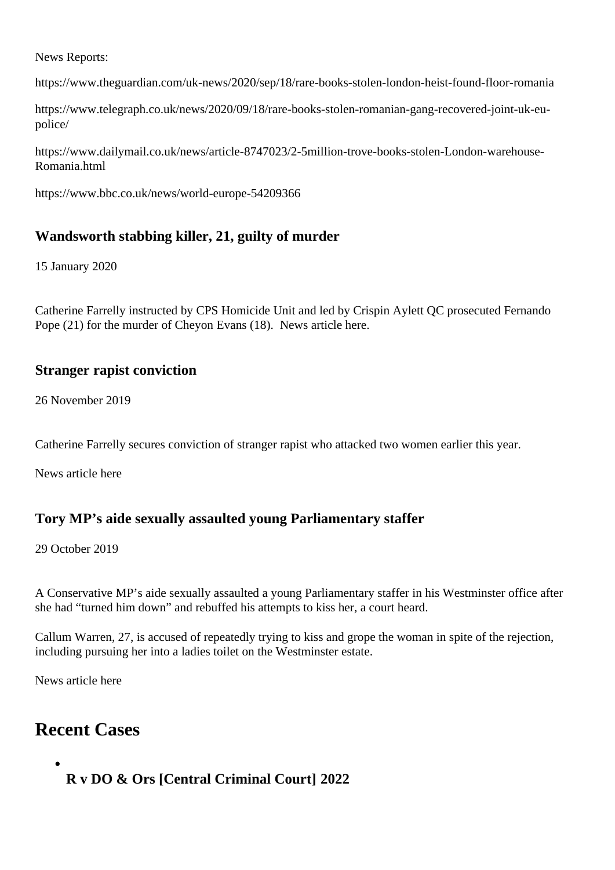News Reports:

https://www.theguardian.com/uk-news/2020/sep/18/rare-books-stolen-london-heist-found-floor-romania

https://www.telegraph.co.uk/news/2020/09/18/rare-books-stolen-romanian-gang-recovered-joint-uk-eu[police/](https://www.theguardian.com/uk-news/2020/sep/18/rare-books-stolen-london-heist-found-floor-romania)

[https://www.dailymail.co.uk/news/article-8747023/2-5million-trove-books-stolen-London-wareh](https://www.telegraph.co.uk/news/2020/09/18/rare-books-stolen-romanian-gang-recovered-joint-uk-eu-police/)ouse-[Roman](https://www.telegraph.co.uk/news/2020/09/18/rare-books-stolen-romanian-gang-recovered-joint-uk-eu-police/)ia.html

[https://www.bbc.co.uk/news/world-europe-54209366](https://www.dailymail.co.uk/news/article-8747023/2-5million-trove-books-stolen-London-warehouse-Romania.html)

[Wandsworth stabbing killer, 21, guilty of m](https://www.bbc.co.uk/news/world-europe-54209366)urder

15 January 2020

Catherine Farrellynstructed by CPS Homicide Unit and led by Crispin Aylett QC prosecuted Fernando Pope (21) for the murder of Cheyon Evans (18). News altereller

[Stranger rapist](https://www.5kbw.co.uk/barristers/profile/catherine-farrelly) conviction

26 November 2019

Catherine Farrell secures conviction of stranger rapist who attacked two women earlier this year.

News article here

[Tory MP's aid](https://www.standard.co.uk/news/crime/opportunistic-rapist-who-attacked-women-in-greenwich-found-guilty-a4297061.html)e sexually assaulted young Parliamentary staffer

29 October 2019

A Conservative MP's aide sexually assaulted a young Parliamentary staffer in his Westminster office after she had "turned him down" and rebuffed his attempts to kiss her, a court heard.

Callum Warren, 27, is accused of repeatedly trying to kiss and grope the woman in spite of the rejection, including pursuing her into a ladies toilet on the Westminster estate.

News article here

### [Recent Ca](https://www.standard.co.uk/news/crime/tory-mps-aide-sexually-assaulted-young-parliamentary-staffer-when-she-turned-him-down-court-hears-a4272671.html)ses

R v DO & Ors [Central Criminal Court] 2022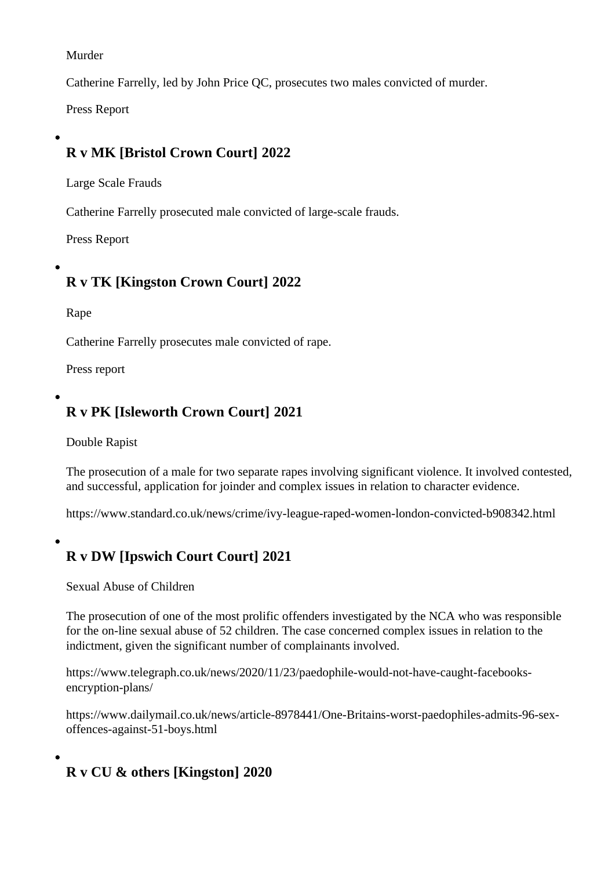Murder

Catherine Farrelly led by John Price QC, prosecutes two males convicted of murder.

Press Report

[R v MK \[B](https://www.bbc.co.uk/news/uk-england-london-61357766)ristol Crown Court] 2022

Large Scale Frauds

Catherine Farrell prosecuted male convicted of large-scale frauds.

Press Report

[R v TK \[Ki](https://www.independent.co.uk/news/uk/crime/somerset-avon-and-somerset-police-bristol-crown-court-diy-amazon-b2065051.html)ngston Crown Court] 2022

Rape

Catherine Farrell prosecutes male convicted of rape.

Press report

[R v PK \[Is](https://www.standard.co.uk/news/crime/snapchat-rapist-kingston-nightclub-london-crime-rape-woman-b992970.html)leworth Crown Court] 2021

Double Rapist

The prosecution of a male for two separate rapes involving significant violence. It involved contested, and successful, application for joinder and complex issues in relation to character evidence.

https://www.standard.co.uk/news/crime/ivy-league-raped-women-london-convicted-b908342.html

[R v DW \[Ipswich Court Court\] 2021](https://www.standard.co.uk/news/crime/ivy-league-raped-women-london-convicted-b908342.html)

Sexual Abuse of Children

The prosecution of one of the most prolific offenders investigated by the NCA who was responsible for the on-line sexual abuse of 52 children. The case concerned complex issues in relation to the indictment, given the significant number of complainants involved.

https://www.telegraph.co.uk/news/2020/11/23/paedophile-would-not-have-caught-facebooksencryption-plans/

[https://www.dailymail.co.uk/news/article-8978441/One-Britains-worst-paedophiles-adm](https://www.telegraph.co.uk/news/2020/11/23/paedophile-would-not-have-caught-facebooks-encryption-plans/)its-96-sex[offences-agains](https://www.telegraph.co.uk/news/2020/11/23/paedophile-would-not-have-caught-facebooks-encryption-plans/)t-51-boys.html

[R v CU & others \[Kingston\] 2020](https://www.dailymail.co.uk/news/article-8978441/One-Britains-worst-paedophiles-admits-96-sex-offences-against-51-boys.html)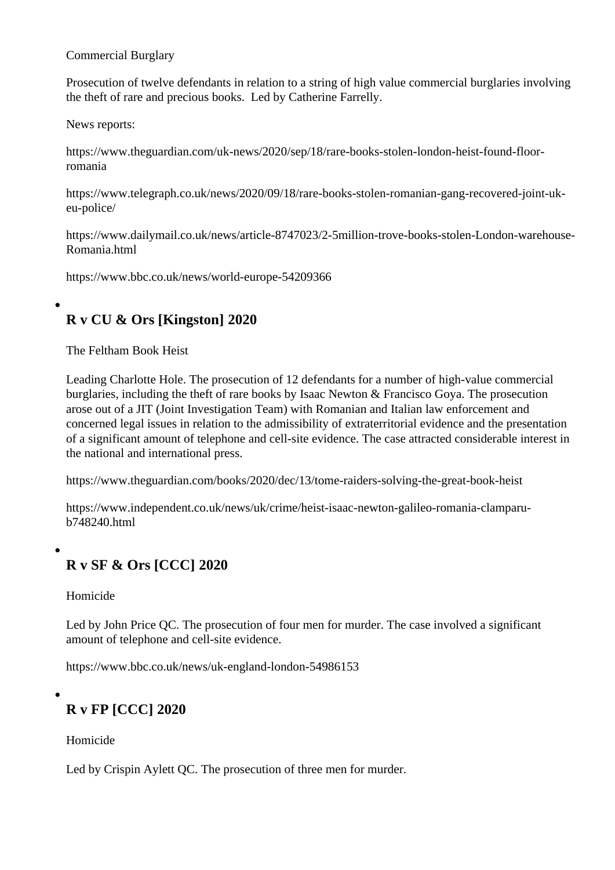Commercial Burglary

Prosecution of twelve defendants in relation to a string of high value commercial burglaries involving the theft of rare and precious books. Led Catherine Farrelly

News reports:

https://www.theguardian.com/uk-news/2[020/sep/18/rare-b](https://www.5kbw.co.uk/barristers/profile/catherine-farrelly)ooks-stolen-london-heist-found-floorromania

[https://www.telegraph.co.uk/news/2020/09/18/rare-books-stolen-romanian-gang-recove](https://www.theguardian.com/uk-news/2020/sep/18/rare-books-stolen-london-heist-found-floor-romania)red-joint-uk[eu-polic](https://www.theguardian.com/uk-news/2020/sep/18/rare-books-stolen-london-heist-found-floor-romania)e/

[https://www.dailymail.co.uk/news/article-8747023/2-5million-trove-books-stolen-London-war](https://www.telegraph.co.uk/news/2020/09/18/rare-books-stolen-romanian-gang-recovered-joint-uk-eu-police/)ehouse-[Romania](https://www.telegraph.co.uk/news/2020/09/18/rare-books-stolen-romanian-gang-recovered-joint-uk-eu-police/).html

[https://www.bbc.co.uk/news/world-europe-54209366](https://www.dailymail.co.uk/news/article-8747023/2-5million-trove-books-stolen-London-warehouse-Romania.html)

[R v CU & Ors \[Kingston\] 2020](https://www.bbc.co.uk/news/world-europe-54209366)

The Feltham Book Heist

Leading Charlotte Hole. The prosecution of 12 defendants for a number of high-value commercial burglaries, including the theft of rare books by Isaac Newton & Francisco Goya. The prosecution arose out of a JIT (Joint Investigation Team) with Romanian and Italian law enforcement and concer[ned legal issue](https://www.5kbw.co.uk/barristers/profile/charlotte-hole)s in relation to the admissibility of extraterritorial evidence and the presentation of a significant amount of telephone and cell-site evidence. The case attracted considerable interest in the national and international press.

https://www.theguardian.com/books/2020/dec/13/tome-raiders-solving-the-great-book-heist

https://www.independent.co.uk/news/uk/crime/heist-isaac-newton-galileo-romania-clamparu[b748240.html](https://www.theguardian.com/books/2020/dec/13/tome-raiders-solving-the-great-book-heist)

[R v SF & Ors \[CCC\] 2020](https://www.independent.co.uk/news/uk/crime/heist-isaac-newton-galileo-romania-clamparu-b748240.html)

Homicide

Led by John Price QC. The prosecution of four men for murder. The case involved a significant amount of telephone and cell-site evidence.

https://www.bbc.co.uk/news/uk-england-london-54986153

[R v FP \[CCC\] 2020](https://www.bbc.co.uk/news/uk-england-london-54986153)

Homicide

Led by Crispin Aylett QC. The prosecution of three men for murder.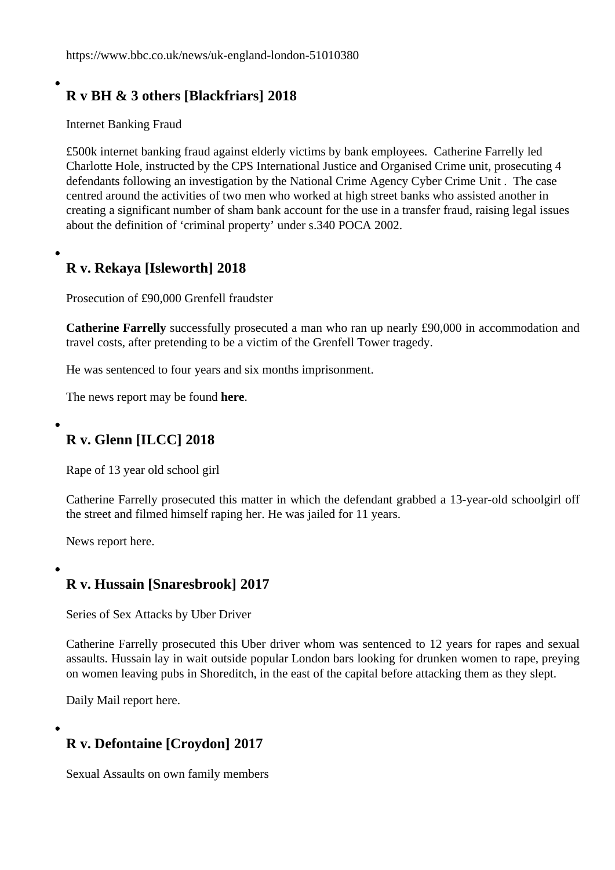https://www.bbc.co.uk/news/uk-england-london-51010380

### [R v BH & 3 others \[Blackfriars\] 2018](https://www.bbc.co.uk/news/uk-england-london-51010380)

Internet Banking Fraud

£500k internet banking fraud against elderly victims by bank emplorest parrelly led Charlotte Holeinstructed by the CPS International Justice and Organised Crime unit, prosecuting 4 defendants following an investigation by the National Crime Agency Cyber Crime Unit . The case centred around the activities of two men who worked at high street [banks who assist](https://www.5kbw.co.uk/barristers/profile/catherine-farrelly)ed another in [creating a sig](https://www.5kbw.co.uk/barristers/profile/charlotte-hole)nificant number of sham bank account for the use in a transfer fraud, raising legal issues about the definition of 'criminal property' under s.340 POCA 2002.

R v. Rekaya [Isleworth] 2018

Prosecution of £90,000 Grenfell fraudster

Catherine Farrelly successfully prosecuted a man who ran up nearly £90,000 in accommodation and travel costs, after pretending to be a victim of the Grenfell Tower tragedy.

[He was sentenced](http://www.5kbw.co.uk/barristers/profile/catherine-farrelly) to four years and six months imprisonment.

The news report may be found re.

R v. Glenn [ILCC] 2018

Rape of 13 year old school girl

Catherine Farrelly prosecuted this matter in which the defendant grabbed a 13-year-old schoolgirl off the street and filmed himself raping her. He was jailed for 11 years.

[News report here](/barristers/profile/catherine-farrelly).

[R v. Hussain \[](http://www.dailymail.co.uk/news/article-5925403/Beast-grabbed-schoolgirl-13-street-filmed-raping-jailed.html)Snaresbrook]2017

Series of Sex Attacks by Uber Driver

Catherine Farrelly prosecuted this Uber driver whom was sentenced to 12 years for rapes and sexual assaults. Hussain lay in wait outside popular London bars looking for drunken women to rape, preying on women leaving pubs in Shoreditch, in the east of the capital before attacking them as they slept.

[Daily Mail report](/barristers/profile/catherine-farrelly) here.

[R v. Defontaine \[C](http://www.dailymail.co.uk/news/article-4684974/Rapist-Uber-driver-lay-wait-victims-outside-bars.html#ixzz4mo6heHa5)roydon] 2017

Sexual Assaults on own family members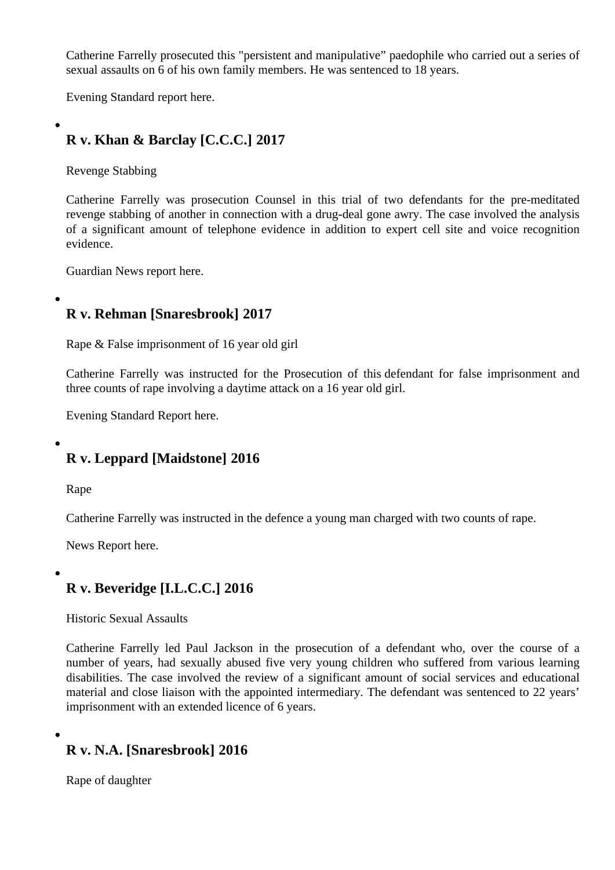Catherine Farrelly prosecuted this "persistent and manipulative" paedophile who carried out a series of sexual assaults on 6 of his own family members. He was sentenced to 18 years.

[Evening Standar](http://barristers/profile/catherine-farrelly)d report here.

[R v. Khan & Barclay \[C.](http://www.standard.co.uk/news/crime/jailed-manipulative-paedophile-who-sexually-abused-sister-daughter-and-nieces-a3577646.html)C.C.] 2017

Revenge Stabbing

Catherine Farrelly was prosecution Counsel in this trial of two defendants for the pre-meditated revenge stabbing of another in connection with a drug-deal gone awry. The case involved the analysis of a significant amount of telephone evidence in addition to expert cell site and voice recognition [evidence.](/barristers/profile/catherine-farrelly)

Guardian News report here.

[R v. Rehman \[Snares](http://www.guardian-series.co.uk/news/15137043.__39_We_left_him_dying__39___Drug_dealer_and_accomplice_face_jail_for_revenge_stabbing/)brook] 2017

Rape & False imprisonment of 16 year old girl

Catherine Farrelly was instructed for the Prosecution of this defendant for false imprisonment and three counts of rape involving a daytime attack on a 16 year old girl.

[Evening Standard](/barristers/profile/catherine-farrelly) Report here.

[R v. Leppard \[Maidstone](http://www.standard.co.uk/news/crime/jailed-dangerous-rapist-who-snatched-girl-16-from-street-in-broad-daylight-in-terrifying-attack-a3481496.html)] 2016

Rape

Catherine Farrell was instructed in the defence a young man charged with two counts of rape.

News Report here.

[R v. Beveridge](http://www.dailymail.co.uk/news/article-3718532/Teenager-hailed-legend-friend-filmed-raping-completely-comatose-woman-party-jailed-judge-says-shown-no-remorse.html) [I.L.C.C.] 2016

Historic Sexual Assaults

Catherine Farrelly ed Paul Jackson in the prosecution of a defendant who, over the course of a number of years, had sexually abused five very young children who suffered from various learning disabilities. The case involved the review of a significant amount of social services and educational [material and clos](/barristers/profile/catherine-farrelly)e lia[ison with the](/barristers/profile/paul-jackson) appointed intermediary. The defendant was sentenced to 22 years' imprisonment with an extended licence of 6 years.

R v. N.A. [Snaresbrook] 2016

Rape of daughter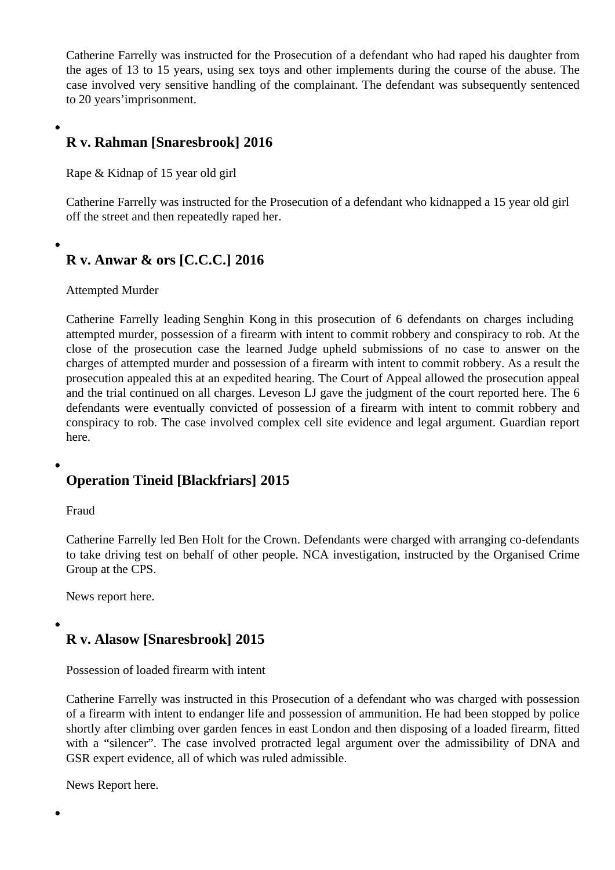Catherine Farrellywas instructed for the Prosecution of a defendant who had raped his daughter from the ages of 13 to 15 years, using sex toys and other implements during the course of the abuse. The case involved very sensitive handling of the complainant. The defendant was subsequently sentenced [to 20 years'impri](/barristers/profile/catherine-farrelly)sonment.

#### R v. Rahman [Snaresbrook] 2016

Rape & Kidnap of 15 year old girl

Catherine Farrellwas instructed for the Prosecution of a defendant who kidnapped a 15 year old girl off the street and then repeatedly raped her.

[R v. Anwar & o](/barristers/profile/catherine-farrelly)rs [C.C.C.] 2016

Attempted Murder

Catherine Farrell leading Senghin Kongn this prosecution of 6 defendants on charges including attempted murder, possession of a firearm with intent to commit robbery and conspiracy to rob. At the close of the prosecution case the learned Judge upheld submissions of no case to answer on the [charges of attemp](/barristers/profile/catherine-farrelly)ted m[urder and poss](/barristers/profile/senghin-kong)ession of a firearm with intent to commit robbery. As a result the prosecution appealed this at an expedited hearing. The Court of Appeal allowed the prosecution appeal and the trial continued on all charges. Leveson LJ gave the judgment of the pouted here. The 6 defendants were eventually convicted of possession of a firearm with intent to commit robbery and conspiracy to rob. The case involved complex cell site evidence and legal argonomian report here.

[Ope](http://www.guardian-series.co.uk/news/14378277.Wanstead_shooting_suspects_tricked_victim_into_fake_drug_deal_before_robbing_and_attempting_to_kill_him__court_hears/)ration Tineid [Blackfriars] 2015

Fraud

Catherine Farrelly ed Ben Holt for the Crown. Defendants were charged with arranging co-defendants to take driving test on behalf of other people. NCA investigation, instructed by the Organised Crime Group at the CPS.

[News report here](http://www.5kbw.co.uk/barristers/profile/catherine-farrelly).

[R v. Alasow \[S](http://www.mirror.co.uk/news/uk-news/driving-test-fraudsters-charged-2500-8658022))naresbrook] 2015

Possession of loaded firearm with intent

Catherine Farrelly was instructed in this Prosecution of a defendant who was charged with possession of a firearm with intent to endanger life and possession of ammunition. He had been stopped by police shortly after climbing over garden fences in east London and then disposing of a loaded firearm, fitted [with a "silencer".](/barristers/profile/catherine-farrelly) The case involved protracted legal argument over the admissibility of DNA and GSR expert evidence, all of which was ruled admissible.

News Report here.